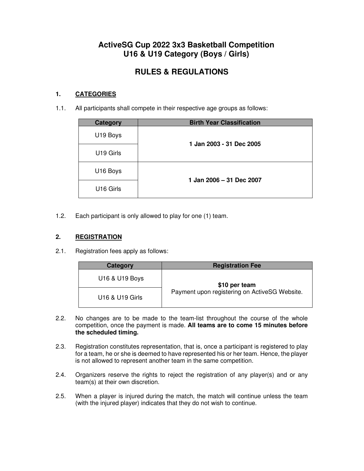## **ActiveSG Cup 2022 3x3 Basketball Competition U16 & U19 Category (Boys / Girls)**

# **RULES & REGULATIONS**

## **1. CATEGORIES**

1.1. All participants shall compete in their respective age groups as follows:

| <b>Category</b>       | <b>Birth Year Classification</b> |
|-----------------------|----------------------------------|
| U19 Boys              | 1 Jan 2003 - 31 Dec 2005         |
| U19 Girls             |                                  |
| U16 Boys              | 1 Jan 2006 - 31 Dec 2007         |
| U <sub>16</sub> Girls |                                  |

1.2. Each participant is only allowed to play for one (1) team.

## **2. REGISTRATION**

2.1. Registration fees apply as follows:

| Category        | <b>Registration Fee</b>                       |  |  |  |  |  |  |  |
|-----------------|-----------------------------------------------|--|--|--|--|--|--|--|
| U16 & U19 Boys  | \$10 per team                                 |  |  |  |  |  |  |  |
| U16 & U19 Girls | Payment upon registering on ActiveSG Website. |  |  |  |  |  |  |  |

- 2.2. No changes are to be made to the team-list throughout the course of the whole competition, once the payment is made. **All teams are to come 15 minutes before the scheduled timing.**
- 2.3. Registration constitutes representation, that is, once a participant is registered to play for a team, he or she is deemed to have represented his or her team. Hence, the player is not allowed to represent another team in the same competition.
- 2.4. Organizers reserve the rights to reject the registration of any player(s) and or any team(s) at their own discretion.
- 2.5. When a player is injured during the match, the match will continue unless the team (with the injured player) indicates that they do not wish to continue.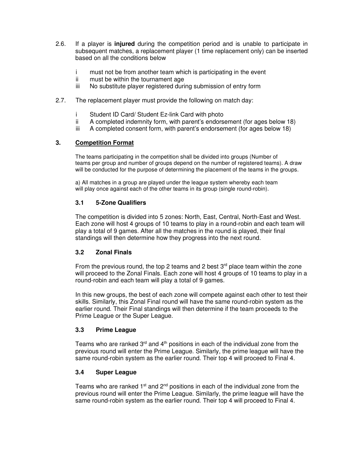- 2.6. If a player is **injured** during the competition period and is unable to participate in subsequent matches, a replacement player (1 time replacement only) can be inserted based on all the conditions below
	- i must not be from another team which is participating in the event
	- ii must be within the tournament age
	- iii No substitute player registered during submission of entry form
- 2.7. The replacement player must provide the following on match day:
	- i Student ID Card/ Student Ez-link Card with photo
	- ii A completed indemnity form, with parent's endorsement (for ages below 18)
	- iii A completed consent form, with parent's endorsement (for ages below 18)

## **3. Competition Format**

The teams participating in the competition shall be divided into groups (Number of teams per group and number of groups depend on the number of registered teams). A draw will be conducted for the purpose of determining the placement of the teams in the groups.

a) All matches in a group are played under the league system whereby each team will play once against each of the other teams in its group (single round-robin).

## **3.1 5-Zone Qualifiers**

The competition is divided into 5 zones: North, East, Central, North-East and West. Each zone will host 4 groups of 10 teams to play in a round-robin and each team will play a total of 9 games. After all the matches in the round is played, their final standings will then determine how they progress into the next round.

## **3.2 Zonal Finals**

From the previous round, the top 2 teams and 2 best  $3<sup>rd</sup>$  place team within the zone will proceed to the Zonal Finals. Each zone will host 4 groups of 10 teams to play in a round-robin and each team will play a total of 9 games.

In this new groups, the best of each zone will compete against each other to test their skills. Similarly, this Zonal Final round will have the same round-robin system as the earlier round. Their Final standings will then determine if the team proceeds to the Prime League or the Super League.

#### **3.3 Prime League**

Teams who are ranked  $3<sup>rd</sup>$  and  $4<sup>th</sup>$  positions in each of the individual zone from the previous round will enter the Prime League. Similarly, the prime league will have the same round-robin system as the earlier round. Their top 4 will proceed to Final 4.

## **3.4 Super League**

Teams who are ranked  $1<sup>st</sup>$  and  $2<sup>nd</sup>$  positions in each of the individual zone from the previous round will enter the Prime League. Similarly, the prime league will have the same round-robin system as the earlier round. Their top 4 will proceed to Final 4.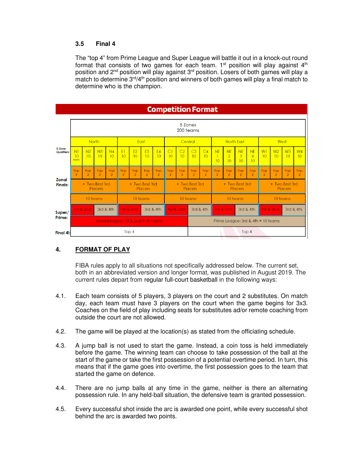#### **3.5 Final 4**

The "top 4" from Prime League and Super League will battle it out in a knock-out round format that consists of two games for each team.  $1<sup>st</sup>$  position will play against  $4<sup>th</sup>$ position and 2<sup>nd</sup> position will play against 3<sup>rd</sup> position. Losers of both games will play a match to determine  $3<sup>rd</sup>/4<sup>th</sup>$  position and winners of both games will play a final match to determine who is the champion.

|                                | <b>Competition Format</b>          |                       |                       |                       |                                  |                       |                              |                       |                                  |                       |                                    |                       |                           |                                   |                       |                                   |                           |                       |                       |                       |
|--------------------------------|------------------------------------|-----------------------|-----------------------|-----------------------|----------------------------------|-----------------------|------------------------------|-----------------------|----------------------------------|-----------------------|------------------------------------|-----------------------|---------------------------|-----------------------------------|-----------------------|-----------------------------------|---------------------------|-----------------------|-----------------------|-----------------------|
|                                | 5 Zones<br>200 teams               |                       |                       |                       |                                  |                       |                              |                       |                                  |                       |                                    |                       |                           |                                   |                       |                                   |                           |                       |                       |                       |
|                                | <b>North</b>                       |                       |                       |                       | East                             |                       |                              |                       | Central                          |                       |                                    |                       | <b>North East</b>         |                                   |                       |                                   | West                      |                       |                       |                       |
| 5-Zone<br><b>Qualifiers:</b>   | N <sub>1</sub><br>10<br>teams      | N <sub>2</sub><br>10  | N <sub>3</sub><br>10  | N <sub>4</sub><br>10  | E1<br>10                         | E2<br>10              | E <sub>3</sub><br>10         | E4<br>10              | CI<br>10                         | C <sub>2</sub><br>10  | C3<br>10                           | C4<br>10              | <b>NE</b><br>T<br>10      | <b>NE</b><br>$\overline{2}$<br>10 | <b>NE</b><br>3<br>10  | <b>NE</b><br>$\overline{4}$<br>10 | W1<br>10                  | W <sub>2</sub><br>10  | W3<br>10              | W <sub>4</sub><br>10  |
|                                | Top<br>$\overline{2}$              | Top<br>$\overline{2}$ | Top<br>$\overline{2}$ | Top<br>$\overline{2}$ | Top<br>$\overline{2}$            | Top<br>$\overline{2}$ | <b>Top</b><br>$\overline{2}$ | Top<br>$\overline{2}$ | Top<br>$\overline{2}$            | Top<br>$\overline{2}$ | Top<br>$\overline{2}$              | Top<br>$\overline{2}$ | Top<br>$\overline{2}$     | Top<br>$\overline{2}$             | Top<br>$\overline{2}$ | Top<br>$\overline{2}$             | Top<br>$\overline{2}$     | Top<br>$\overline{2}$ | Top<br>$\overline{2}$ | Top<br>$\overline{2}$ |
| <b>Zonal</b><br><b>Finals:</b> |                                    | + Two Best 3rd        | Placers               |                       | + Two Best 3rd<br><b>Placers</b> |                       |                              |                       | + Two Best 3rd<br><b>Placers</b> |                       |                                    |                       | + Two Best 3rd<br>Placers |                                   |                       |                                   | + Two Best 3rd<br>Placers |                       |                       |                       |
|                                | 10 teams                           |                       |                       |                       | 10 teams                         |                       |                              |                       | 10 teams                         |                       |                                    |                       | 10 teams                  |                                   |                       |                                   | 10 teams                  |                       |                       |                       |
| Super/<br>Prime:               | 1st & 2nd                          |                       | 3rd & 4th             |                       | 1st & 2nd<br>3rd & 4th           |                       |                              | 1st & 2nd             | 3rd & 4th                        |                       | 1st & 2nd<br>3rd & 4th             |                       | 1st & 2nd                 |                                   | 3rd & 4th             |                                   |                           |                       |                       |                       |
|                                | Super League: 1st & 2nd = 10 teams |                       |                       |                       |                                  |                       |                              |                       |                                  |                       | Prime League: 3rd & 4th = 10 teams |                       |                           |                                   |                       |                                   |                           |                       |                       |                       |
| Final 4!:                      | Top 4                              |                       |                       |                       |                                  |                       |                              |                       |                                  | Top 4                 |                                    |                       |                           |                                   |                       |                                   |                           |                       |                       |                       |

## **4. FORMAT OF PLAY**

FIBA rules apply to all situations not specifically addressed below. The current set, both in an abbreviated version and longer format, was published in August 2019. The current rules depart from regular full-court basketball in the following ways:

- 4.1. Each team consists of 5 players, 3 players on the court and 2 substitutes. On match day, each team must have 3 players on the court when the game begins for 3x3. Coaches on the field of play including seats for substitutes ad/or remote coaching from outside the court are not allowed.
- 4.2. The game will be played at the location(s) as stated from the officiating schedule.
- 4.3. A jump ball is not used to start the game. Instead, a coin toss is held immediately before the game. The winning team can choose to take possession of the ball at the start of the game or take the first possession of a potential overtime period. In turn, this means that if the game goes into overtime, the first possession goes to the team that started the game on defence.
- 4.4. There are no jump balls at any time in the game, neither is there an alternating possession rule. In any held-ball situation, the defensive team is granted possession.
- 4.5. Every successful shot inside the arc is awarded one point, while every successful shot behind the arc is awarded two points.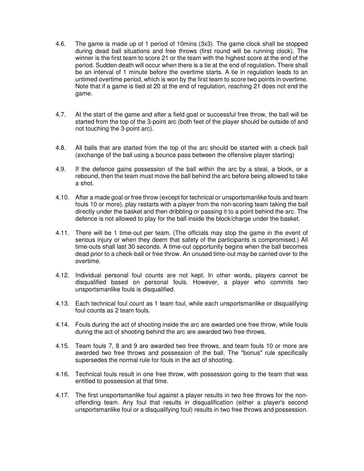- 4.6. The game is made up of 1 period of 10mins (3x3). The game clock shall be stopped during dead ball situations and free throws (first round will be running clock). The winner is the first team to score 21 or the team with the highest score at the end of the period. Sudden death will occur when there is a tie at the end of regulation. There shall be an interval of 1 minute before the overtime starts. A tie in regulation leads to an untimed overtime period, which is won by the first team to score two points in overtime. Note that if a game is tied at 20 at the end of regulation, reaching 21 does not end the game.
- 4.7. At the start of the game and after a field goal or successful free throw, the ball will be started from the top of the 3-point arc (both feet of the player should be outside of and not touching the 3-point arc).
- 4.8. All balls that are started from the top of the arc should be started with a check ball (exchange of the ball using a bounce pass between the offensive player starting)
- 4.9. If the defence gains possession of the ball within the arc by a steal, a block, or a rebound, then the team must move the ball behind the arc before being allowed to take a shot.
- 4.10. After a made goal or free throw (except for technical or unsportsmanlike fouls and team fouls 10 or more), play restarts with a player from the non-scoring team taking the ball directly under the basket and then dribbling or passing it to a point behind the arc. The defence is not allowed to play for the ball inside the block/charge under the basket.
- 4.11. There will be 1 time-out per team. (The officials may stop the game in the event of serious injury or when they deem that safety of the participants is compromised.) All time-outs shall last 30 seconds. A time-out opportunity begins when the ball becomes dead prior to a check-ball or free throw. An unused time-out may be carried over to the overtime.
- 4.12. Individual personal foul counts are not kept. In other words, players cannot be disqualified based on personal fouls. However, a player who commits two unsportsmanlike fouls is disqualified.
- 4.13. Each technical foul count as 1 team foul, while each unsportsmanlike or disqualifying foul counts as 2 team fouls.
- 4.14. Fouls during the act of shooting inside the arc are awarded one free throw, while fouls during the act of shooting behind the arc are awarded two free throws.
- 4.15. Team fouls 7, 8 and 9 are awarded two free throws, and team fouls 10 or more are awarded two free throws and possession of the ball. The "bonus" rule specifically supersedes the normal rule for fouls in the act of shooting.
- 4.16. Technical fouls result in one free throw, with possession going to the team that was entitled to possession at that time.
- 4.17. The first unsportsmanlike foul against a player results in two free throws for the nonoffending team. Any foul that results in disqualification (either a player's second unsportsmanlike foul or a disqualifying foul) results in two free throws and possession.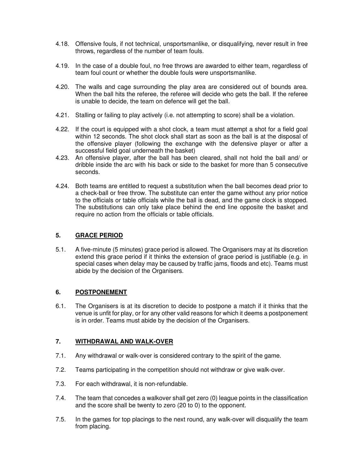- 4.18. Offensive fouls, if not technical, unsportsmanlike, or disqualifying, never result in free throws, regardless of the number of team fouls.
- 4.19. In the case of a double foul, no free throws are awarded to either team, regardless of team foul count or whether the double fouls were unsportsmanlike.
- 4.20. The walls and cage surrounding the play area are considered out of bounds area. When the ball hits the referee, the referee will decide who gets the ball. If the referee is unable to decide, the team on defence will get the ball.
- 4.21. Stalling or failing to play actively (i.e. not attempting to score) shall be a violation.
- 4.22. If the court is equipped with a shot clock, a team must attempt a shot for a field goal within 12 seconds. The shot clock shall start as soon as the ball is at the disposal of the offensive player (following the exchange with the defensive player or after a successful field goal underneath the basket)
- 4.23. An offensive player, after the ball has been cleared, shall not hold the ball and/ or dribble inside the arc with his back or side to the basket for more than 5 consecutive seconds.
- 4.24. Both teams are entitled to request a substitution when the ball becomes dead prior to a check-ball or free throw. The substitute can enter the game without any prior notice to the officials or table officials while the ball is dead, and the game clock is stopped. The substitutions can only take place behind the end line opposite the basket and require no action from the officials or table officials.

## **5. GRACE PERIOD**

5.1. A five-minute (5 minutes) grace period is allowed. The Organisers may at its discretion extend this grace period if it thinks the extension of grace period is justifiable (e.g. in special cases when delay may be caused by traffic jams, floods and etc). Teams must abide by the decision of the Organisers.

#### **6. POSTPONEMENT**

6.1. The Organisers is at its discretion to decide to postpone a match if it thinks that the venue is unfit for play, or for any other valid reasons for which it deems a postponement is in order. Teams must abide by the decision of the Organisers.

#### **7. WITHDRAWAL AND WALK-OVER**

- 7.1. Any withdrawal or walk-over is considered contrary to the spirit of the game.
- 7.2. Teams participating in the competition should not withdraw or give walk-over.
- 7.3. For each withdrawal, it is non-refundable.
- 7.4. The team that concedes a walkover shall get zero (0) league points in the classification and the score shall be twenty to zero (20 to 0) to the opponent.
- 7.5. In the games for top placings to the next round, any walk-over will disqualify the team from placing.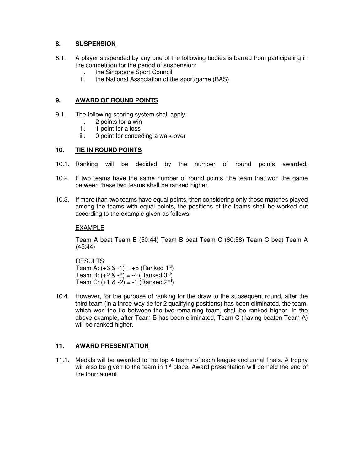## **8. SUSPENSION**

- 8.1. A player suspended by any one of the following bodies is barred from participating in the competition for the period of suspension:
	- i. the Singapore Sport Council
	- ii. the National Association of the sport/game (BAS)

#### **9. AWARD OF ROUND POINTS**

- 9.1. The following scoring system shall apply:
	- i. 2 points for a win<br>ii. 1 point for a loss
	- 1 point for a loss
	- iii. 0 point for conceding a walk-over

#### **10. TIE IN ROUND POINTS**

- 10.1. Ranking will be decided by the number of round points awarded.
- 10.2. If two teams have the same number of round points, the team that won the game between these two teams shall be ranked higher.
- 10.3. If more than two teams have equal points, then considering only those matches played among the teams with equal points, the positions of the teams shall be worked out according to the example given as follows:

### EXAMPLE

Team A beat Team B (50:44) Team B beat Team C (60:58) Team C beat Team A (45:44)

RESULTS: Team A:  $(+6 \& -1) = +5$  (Ranked 1<sup>st</sup>) Team B:  $(+2 \& -6) = -4$  (Ranked 3<sup>rd</sup>) Team C:  $(+1 \& -2) = -1$  (Ranked 2<sup>nd</sup>)

10.4. However, for the purpose of ranking for the draw to the subsequent round, after the third team (in a three-way tie for 2 qualifying positions) has been eliminated, the team, which won the tie between the two-remaining team, shall be ranked higher. In the above example, after Team B has been eliminated, Team C (having beaten Team A) will be ranked higher.

## **11. AWARD PRESENTATION**

11.1. Medals will be awarded to the top 4 teams of each league and zonal finals. A trophy will also be given to the team in  $1<sup>st</sup>$  place. Award presentation will be held the end of the tournament.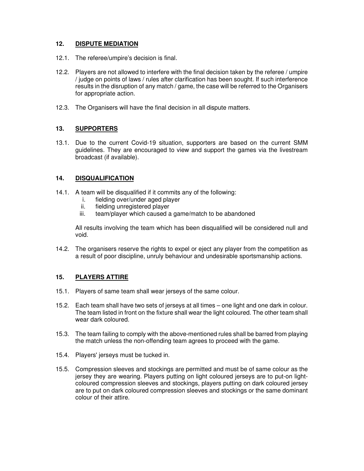## **12. DISPUTE MEDIATION**

- 12.1. The referee/umpire's decision is final.
- 12.2. Players are not allowed to interfere with the final decision taken by the referee / umpire / judge on points of laws / rules after clarification has been sought. If such interference results in the disruption of any match / game, the case will be referred to the Organisers for appropriate action.
- 12.3. The Organisers will have the final decision in all dispute matters.

#### **13. SUPPORTERS**

13.1. Due to the current Covid-19 situation, supporters are based on the current SMM guidelines. They are encouraged to view and support the games via the livestream broadcast (if available).

### **14. DISQUALIFICATION**

- 14.1. A team will be disqualified if it commits any of the following:
	- i. fielding over/under aged player<br>ii. fielding unregistered player
	- fielding unregistered player
	- iii. team/player which caused a game/match to be abandoned

All results involving the team which has been disqualified will be considered null and void.

14.2. The organisers reserve the rights to expel or eject any player from the competition as a result of poor discipline, unruly behaviour and undesirable sportsmanship actions.

## **15. PLAYERS ATTIRE**

- 15.1. Players of same team shall wear jerseys of the same colour.
- 15.2. Each team shall have two sets of jerseys at all times one light and one dark in colour. The team listed in front on the fixture shall wear the light coloured. The other team shall wear dark coloured.
- 15.3. The team failing to comply with the above-mentioned rules shall be barred from playing the match unless the non-offending team agrees to proceed with the game.
- 15.4. Players' jerseys must be tucked in.
- 15.5. Compression sleeves and stockings are permitted and must be of same colour as the jersey they are wearing. Players putting on light coloured jerseys are to put-on lightcoloured compression sleeves and stockings, players putting on dark coloured jersey are to put on dark coloured compression sleeves and stockings or the same dominant colour of their attire.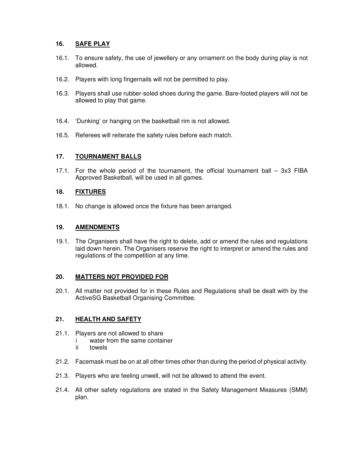## **16. SAFE PLAY**

- 16.1. To ensure safety, the use of jewellery or any ornament on the body during play is not allowed.
- 16.2. Players with long fingernails will not be permitted to play.
- 16.3. Players shall use rubber-soled shoes during the game. Bare-footed players will not be allowed to play that game.
- 16.4. 'Dunking' or hanging on the basketball rim is not allowed.
- 16.5. Referees will reiterate the safety rules before each match.

#### **17. TOURNAMENT BALLS**

17.1. For the whole period of the tournament, the official tournament ball – 3x3 FIBA Approved Basketball, will be used in all games.

#### **18. FIXTURES**

18.1. No change is allowed once the fixture has been arranged.

#### **19. AMENDMENTS**

19.1. The Organisers shall have the right to delete, add or amend the rules and regulations laid down herein. The Organisers reserve the right to interpret or amend the rules and regulations of the competition at any time.

#### **20. MATTERS NOT PROVIDED FOR**

20.1. All matter not provided for in these Rules and Regulations shall be dealt with by the ActiveSG Basketball Organising Committee.

#### **21. HEALTH AND SAFETY**

- 21.1. Players are not allowed to share
	- i water from the same container<br>ii towels
		- towels
- 21.2. Facemask must be on at all other times other than during the period of physical activity.
- 21.3. Players who are feeling unwell, will not be allowed to attend the event.
- 21.4. All other safety regulations are stated in the Safety Management Measures (SMM) plan.